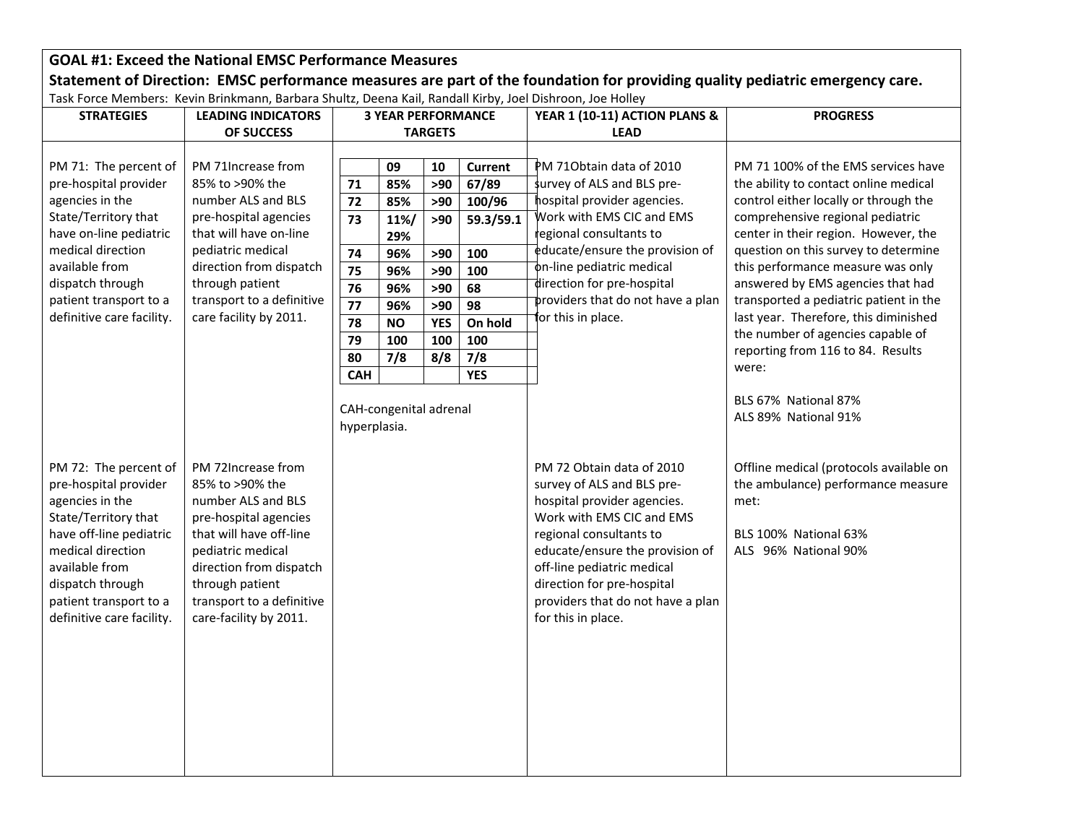## **GOAL #1: Exceed the National EMSC Performance Measures** Statement of Direction: EMSC performance measures are part of the foundation for providing quality pediatric emergency care.

Task Force Members: Kevin Brinkmann, Barbara Shultz, Deena Kail, Randall Kirby, Joel Dishroon, Joe Holley

| <b>STRATEGIES</b>                                                                                                                                                                                                                     | <b>LEADING INDICATORS</b>                                                                                                                                                                                                                | <b>3 YEAR PERFORMANCE</b>                                              |                                                                                        |                                                                                 | YEAR 1 (10-11) ACTION PLANS &                                                                                   | <b>PROGRESS</b>                                                                                                                                                                                                                                                                                        |                                                                                                                                                                                                                                                                                                                                                                                                                                                                                           |
|---------------------------------------------------------------------------------------------------------------------------------------------------------------------------------------------------------------------------------------|------------------------------------------------------------------------------------------------------------------------------------------------------------------------------------------------------------------------------------------|------------------------------------------------------------------------|----------------------------------------------------------------------------------------|---------------------------------------------------------------------------------|-----------------------------------------------------------------------------------------------------------------|--------------------------------------------------------------------------------------------------------------------------------------------------------------------------------------------------------------------------------------------------------------------------------------------------------|-------------------------------------------------------------------------------------------------------------------------------------------------------------------------------------------------------------------------------------------------------------------------------------------------------------------------------------------------------------------------------------------------------------------------------------------------------------------------------------------|
|                                                                                                                                                                                                                                       | OF SUCCESS                                                                                                                                                                                                                               | <b>TARGETS</b>                                                         |                                                                                        |                                                                                 | <b>LEAD</b>                                                                                                     |                                                                                                                                                                                                                                                                                                        |                                                                                                                                                                                                                                                                                                                                                                                                                                                                                           |
| PM 71: The percent of<br>pre-hospital provider<br>agencies in the<br>State/Territory that<br>have on-line pediatric<br>medical direction<br>available from<br>dispatch through<br>patient transport to a<br>definitive care facility. | PM 71Increase from<br>85% to >90% the<br>number ALS and BLS<br>pre-hospital agencies<br>that will have on-line<br>pediatric medical<br>direction from dispatch<br>through patient<br>transport to a definitive<br>care facility by 2011. | 71<br>72<br>73<br>74<br>75<br>76<br>77<br>78<br>79<br>80<br><b>CAH</b> | 09<br>85%<br>85%<br>11%/<br>29%<br>96%<br>96%<br>96%<br>96%<br><b>NO</b><br>100<br>7/8 | 10<br>>90<br>>90<br>>90<br>>90<br>>90<br>>90<br>>90<br><b>YES</b><br>100<br>8/8 | <b>Current</b><br>67/89<br>100/96<br>59.3/59.1<br>100<br>100<br>68<br>98<br>On hold<br>100<br>7/8<br><b>YES</b> | PM 710btain data of 2010<br>survey of ALS and BLS pre-<br>hospital provider agencies.<br>Work with EMS CIC and EMS<br>regional consultants to<br>educate/ensure the provision of<br>on-line pediatric medical<br>direction for pre-hospital<br>providers that do not have a plan<br>for this in place. | PM 71 100% of the EMS services have<br>the ability to contact online medical<br>control either locally or through the<br>comprehensive regional pediatric<br>center in their region. However, the<br>question on this survey to determine<br>this performance measure was only<br>answered by EMS agencies that had<br>transported a pediatric patient in the<br>last year. Therefore, this diminished<br>the number of agencies capable of<br>reporting from 116 to 84. Results<br>were: |
| PM 72: The percent of<br>pre-hospital provider<br>agencies in the                                                                                                                                                                     | PM 72Increase from<br>85% to >90% the<br>number ALS and BLS                                                                                                                                                                              | hyperplasia.                                                           | CAH-congenital adrenal                                                                 |                                                                                 |                                                                                                                 | PM 72 Obtain data of 2010<br>survey of ALS and BLS pre-<br>hospital provider agencies.                                                                                                                                                                                                                 | BLS 67% National 87%<br>ALS 89% National 91%<br>Offline medical (protocols available on<br>the ambulance) performance measure<br>met:                                                                                                                                                                                                                                                                                                                                                     |
| State/Territory that<br>have off-line pediatric<br>medical direction<br>available from<br>dispatch through<br>patient transport to a<br>definitive care facility.                                                                     | pre-hospital agencies<br>that will have off-line<br>pediatric medical<br>direction from dispatch<br>through patient<br>transport to a definitive<br>care-facility by 2011.                                                               |                                                                        |                                                                                        |                                                                                 |                                                                                                                 | Work with EMS CIC and EMS<br>regional consultants to<br>educate/ensure the provision of<br>off-line pediatric medical<br>direction for pre-hospital<br>providers that do not have a plan<br>for this in place.                                                                                         | BLS 100% National 63%<br>ALS 96% National 90%                                                                                                                                                                                                                                                                                                                                                                                                                                             |
|                                                                                                                                                                                                                                       |                                                                                                                                                                                                                                          |                                                                        |                                                                                        |                                                                                 |                                                                                                                 |                                                                                                                                                                                                                                                                                                        |                                                                                                                                                                                                                                                                                                                                                                                                                                                                                           |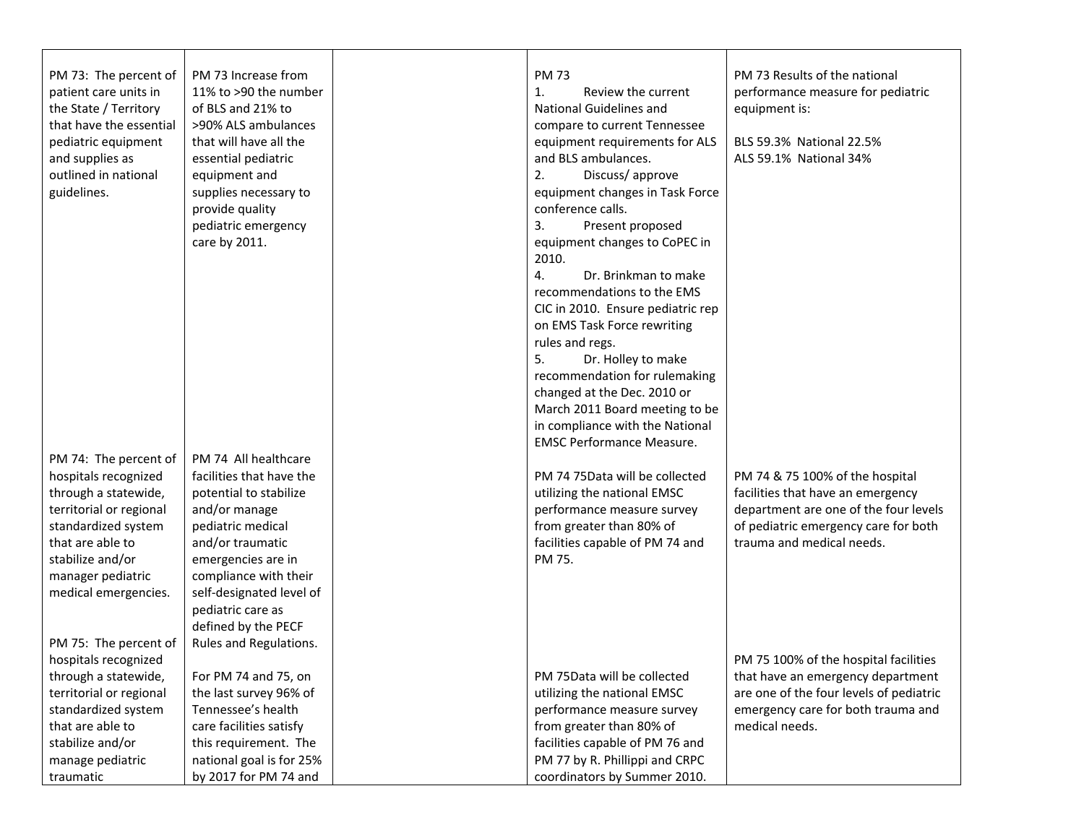| PM 73: The percent of   | PM 73 Increase from      | <b>PM73</b>                       | PM 73 Results of the national           |
|-------------------------|--------------------------|-----------------------------------|-----------------------------------------|
| patient care units in   | 11% to >90 the number    | 1.<br>Review the current          | performance measure for pediatric       |
| the State / Territory   | of BLS and 21% to        | <b>National Guidelines and</b>    | equipment is:                           |
| that have the essential | >90% ALS ambulances      | compare to current Tennessee      |                                         |
| pediatric equipment     | that will have all the   | equipment requirements for ALS    | BLS 59.3% National 22.5%                |
| and supplies as         | essential pediatric      | and BLS ambulances.               | ALS 59.1% National 34%                  |
| outlined in national    | equipment and            | 2.<br>Discuss/approve             |                                         |
| guidelines.             | supplies necessary to    | equipment changes in Task Force   |                                         |
|                         | provide quality          | conference calls.                 |                                         |
|                         | pediatric emergency      | 3.<br>Present proposed            |                                         |
|                         | care by 2011.            | equipment changes to CoPEC in     |                                         |
|                         |                          | 2010.                             |                                         |
|                         |                          | 4.<br>Dr. Brinkman to make        |                                         |
|                         |                          | recommendations to the EMS        |                                         |
|                         |                          | CIC in 2010. Ensure pediatric rep |                                         |
|                         |                          | on EMS Task Force rewriting       |                                         |
|                         |                          | rules and regs.                   |                                         |
|                         |                          | 5.<br>Dr. Holley to make          |                                         |
|                         |                          | recommendation for rulemaking     |                                         |
|                         |                          | changed at the Dec. 2010 or       |                                         |
|                         |                          | March 2011 Board meeting to be    |                                         |
|                         |                          | in compliance with the National   |                                         |
|                         |                          | <b>EMSC Performance Measure.</b>  |                                         |
| PM 74: The percent of   | PM 74 All healthcare     |                                   |                                         |
| hospitals recognized    | facilities that have the | PM 74 75Data will be collected    | PM 74 & 75 100% of the hospital         |
| through a statewide,    | potential to stabilize   | utilizing the national EMSC       | facilities that have an emergency       |
| territorial or regional | and/or manage            | performance measure survey        | department are one of the four levels   |
| standardized system     | pediatric medical        | from greater than 80% of          | of pediatric emergency care for both    |
| that are able to        | and/or traumatic         | facilities capable of PM 74 and   | trauma and medical needs.               |
| stabilize and/or        | emergencies are in       | PM 75.                            |                                         |
| manager pediatric       | compliance with their    |                                   |                                         |
| medical emergencies.    | self-designated level of |                                   |                                         |
|                         | pediatric care as        |                                   |                                         |
|                         | defined by the PECF      |                                   |                                         |
| PM 75: The percent of   | Rules and Regulations.   |                                   |                                         |
| hospitals recognized    |                          |                                   | PM 75 100% of the hospital facilities   |
| through a statewide,    | For PM 74 and 75, on     | PM 75Data will be collected       | that have an emergency department       |
| territorial or regional | the last survey 96% of   | utilizing the national EMSC       | are one of the four levels of pediatric |
| standardized system     | Tennessee's health       | performance measure survey        | emergency care for both trauma and      |
| that are able to        | care facilities satisfy  | from greater than 80% of          | medical needs.                          |
| stabilize and/or        | this requirement. The    | facilities capable of PM 76 and   |                                         |
| manage pediatric        | national goal is for 25% | PM 77 by R. Phillippi and CRPC    |                                         |
| traumatic               | by 2017 for PM 74 and    | coordinators by Summer 2010.      |                                         |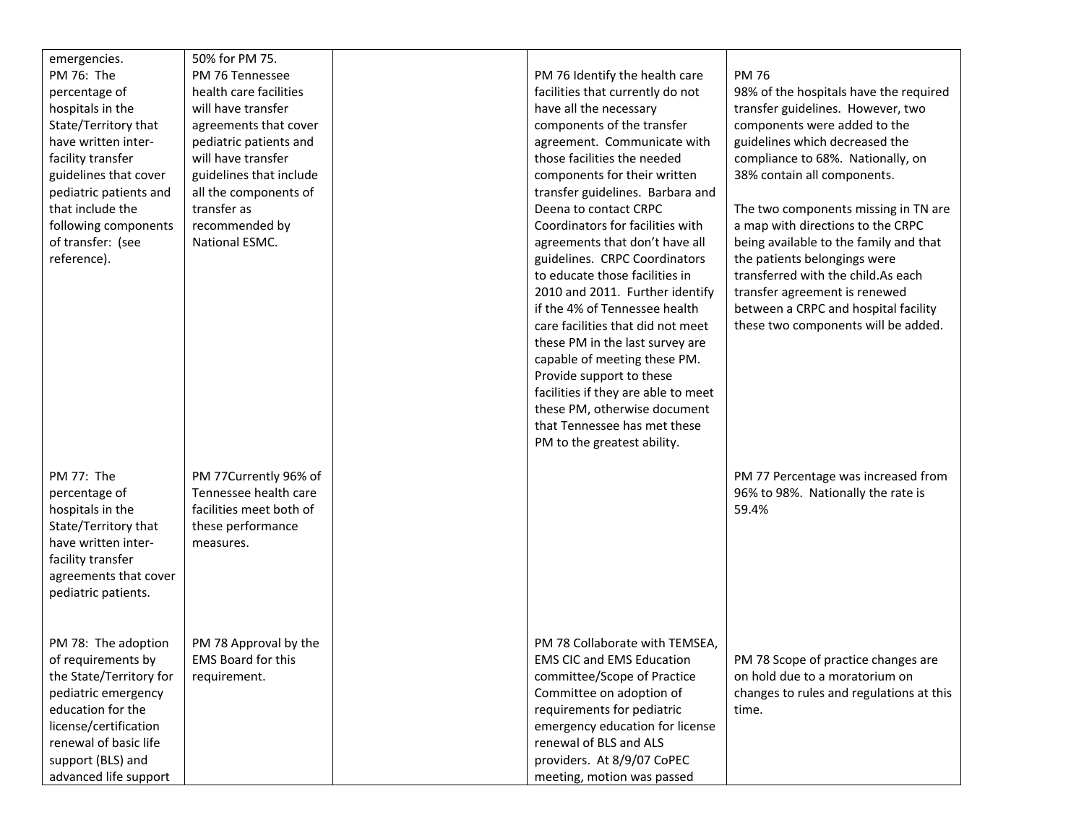| emergencies.<br>PM 76: The<br>percentage of<br>hospitals in the<br>State/Territory that<br>have written inter-<br>facility transfer                                                                              | 50% for PM 75.<br>PM 76 Tennessee<br>health care facilities<br>will have transfer<br>agreements that cover<br>pediatric patients and<br>will have transfer | PM 76 Identify the health care<br>facilities that currently do not<br>have all the necessary<br>components of the transfer<br>agreement. Communicate with<br>those facilities the needed                                                                                                                                                                                                                                                                                                                                                                                         | <b>PM 76</b><br>98% of the hospitals have the required<br>transfer guidelines. However, two<br>components were added to the<br>guidelines which decreased the<br>compliance to 68%. Nationally, on                                                                                                                                       |
|------------------------------------------------------------------------------------------------------------------------------------------------------------------------------------------------------------------|------------------------------------------------------------------------------------------------------------------------------------------------------------|----------------------------------------------------------------------------------------------------------------------------------------------------------------------------------------------------------------------------------------------------------------------------------------------------------------------------------------------------------------------------------------------------------------------------------------------------------------------------------------------------------------------------------------------------------------------------------|------------------------------------------------------------------------------------------------------------------------------------------------------------------------------------------------------------------------------------------------------------------------------------------------------------------------------------------|
| guidelines that cover<br>pediatric patients and<br>that include the<br>following components<br>of transfer: (see<br>reference).                                                                                  | guidelines that include<br>all the components of<br>transfer as<br>recommended by<br>National ESMC.                                                        | components for their written<br>transfer guidelines. Barbara and<br>Deena to contact CRPC<br>Coordinators for facilities with<br>agreements that don't have all<br>guidelines. CRPC Coordinators<br>to educate those facilities in<br>2010 and 2011. Further identify<br>if the 4% of Tennessee health<br>care facilities that did not meet<br>these PM in the last survey are<br>capable of meeting these PM.<br>Provide support to these<br>facilities if they are able to meet<br>these PM, otherwise document<br>that Tennessee has met these<br>PM to the greatest ability. | 38% contain all components.<br>The two components missing in TN are<br>a map with directions to the CRPC<br>being available to the family and that<br>the patients belongings were<br>transferred with the child.As each<br>transfer agreement is renewed<br>between a CRPC and hospital facility<br>these two components will be added. |
| PM 77: The<br>percentage of<br>hospitals in the<br>State/Territory that<br>have written inter-<br>facility transfer<br>agreements that cover<br>pediatric patients.                                              | PM 77Currently 96% of<br>Tennessee health care<br>facilities meet both of<br>these performance<br>measures.                                                |                                                                                                                                                                                                                                                                                                                                                                                                                                                                                                                                                                                  | PM 77 Percentage was increased from<br>96% to 98%. Nationally the rate is<br>59.4%                                                                                                                                                                                                                                                       |
| PM 78: The adoption<br>of requirements by<br>the State/Territory for<br>pediatric emergency<br>education for the<br>license/certification<br>renewal of basic life<br>support (BLS) and<br>advanced life support | PM 78 Approval by the<br>EMS Board for this<br>requirement.                                                                                                | PM 78 Collaborate with TEMSEA,<br><b>EMS CIC and EMS Education</b><br>committee/Scope of Practice<br>Committee on adoption of<br>requirements for pediatric<br>emergency education for license<br>renewal of BLS and ALS<br>providers. At 8/9/07 CoPEC<br>meeting, motion was passed                                                                                                                                                                                                                                                                                             | PM 78 Scope of practice changes are<br>on hold due to a moratorium on<br>changes to rules and regulations at this<br>time.                                                                                                                                                                                                               |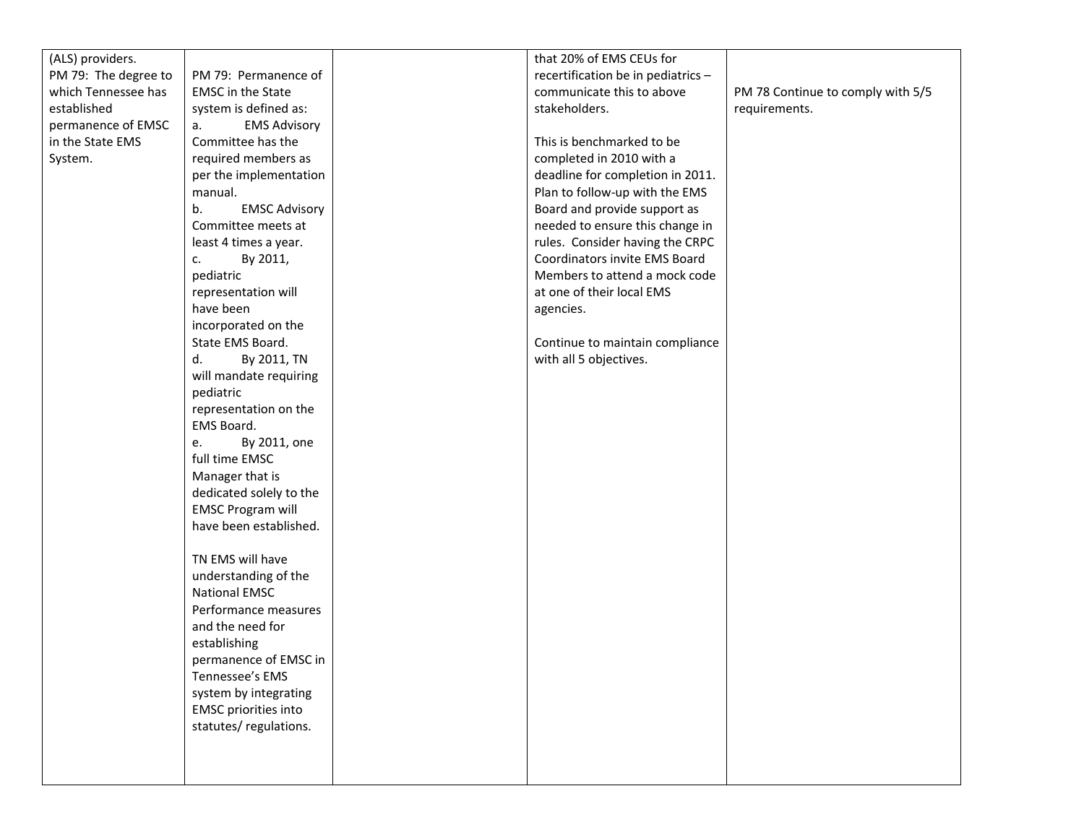| (ALS) providers.     |                                          | that 20% of EMS CEUs for           |                                   |
|----------------------|------------------------------------------|------------------------------------|-----------------------------------|
| PM 79: The degree to | PM 79: Permanence of                     | recertification be in pediatrics - |                                   |
| which Tennessee has  | <b>EMSC</b> in the State                 | communicate this to above          | PM 78 Continue to comply with 5/5 |
| established          | system is defined as:                    | stakeholders.                      | requirements.                     |
| permanence of EMSC   | <b>EMS Advisory</b><br>a.                |                                    |                                   |
| in the State EMS     | Committee has the                        | This is benchmarked to be          |                                   |
| System.              | required members as                      | completed in 2010 with a           |                                   |
|                      | per the implementation                   | deadline for completion in 2011.   |                                   |
|                      | manual.                                  | Plan to follow-up with the EMS     |                                   |
|                      | b.<br><b>EMSC Advisory</b>               | Board and provide support as       |                                   |
|                      | Committee meets at                       | needed to ensure this change in    |                                   |
|                      | least 4 times a year.                    | rules. Consider having the CRPC    |                                   |
|                      | By 2011,<br>c.                           | Coordinators invite EMS Board      |                                   |
|                      | pediatric                                | Members to attend a mock code      |                                   |
|                      | representation will                      | at one of their local EMS          |                                   |
|                      | have been                                | agencies.                          |                                   |
|                      | incorporated on the                      |                                    |                                   |
|                      | State EMS Board.                         | Continue to maintain compliance    |                                   |
|                      | d.<br>By 2011, TN                        | with all 5 objectives.             |                                   |
|                      | will mandate requiring                   |                                    |                                   |
|                      | pediatric                                |                                    |                                   |
|                      | representation on the                    |                                    |                                   |
|                      | EMS Board.                               |                                    |                                   |
|                      | By 2011, one<br>e.                       |                                    |                                   |
|                      | full time EMSC                           |                                    |                                   |
|                      | Manager that is                          |                                    |                                   |
|                      | dedicated solely to the                  |                                    |                                   |
|                      | <b>EMSC Program will</b>                 |                                    |                                   |
|                      | have been established.                   |                                    |                                   |
|                      |                                          |                                    |                                   |
|                      | TN EMS will have                         |                                    |                                   |
|                      | understanding of the                     |                                    |                                   |
|                      | <b>National EMSC</b>                     |                                    |                                   |
|                      | Performance measures<br>and the need for |                                    |                                   |
|                      | establishing                             |                                    |                                   |
|                      | permanence of EMSC in                    |                                    |                                   |
|                      | Tennessee's EMS                          |                                    |                                   |
|                      | system by integrating                    |                                    |                                   |
|                      | <b>EMSC</b> priorities into              |                                    |                                   |
|                      | statutes/regulations.                    |                                    |                                   |
|                      |                                          |                                    |                                   |
|                      |                                          |                                    |                                   |
|                      |                                          |                                    |                                   |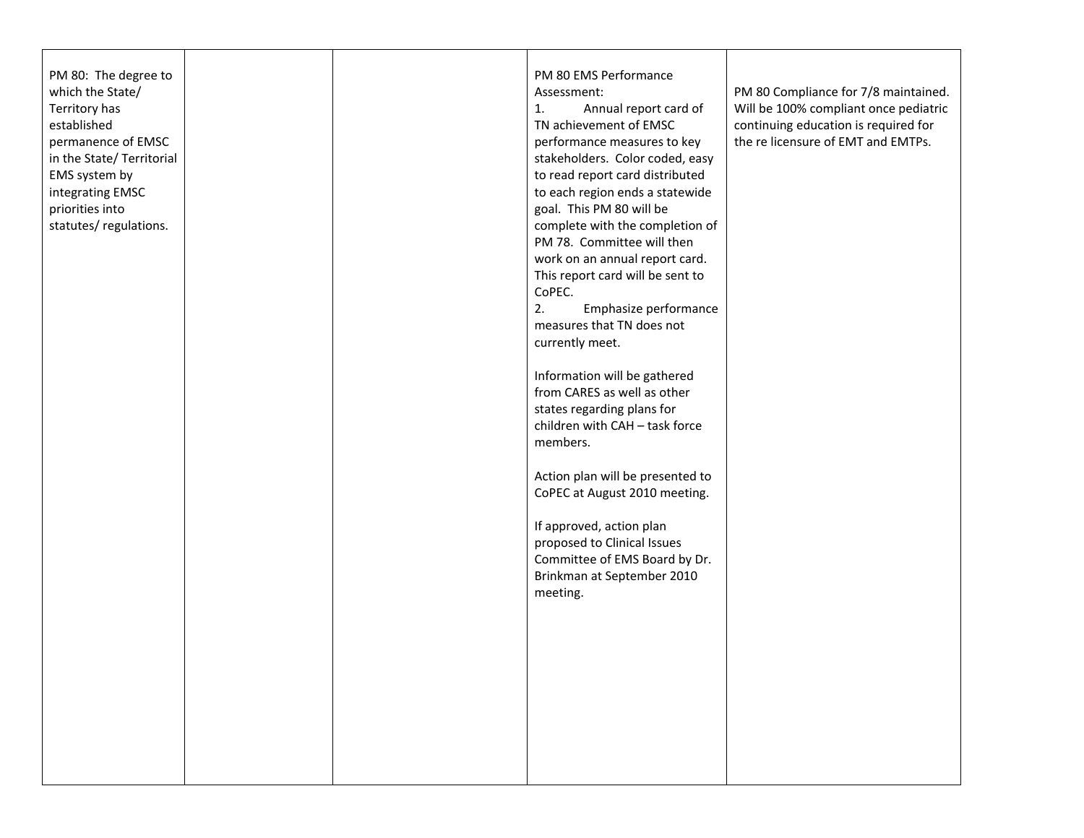| PM 80: The degree to<br>which the State/<br>Territory has<br>established<br>permanence of EMSC<br>in the State/ Territorial<br>EMS system by<br>integrating EMSC<br>priorities into<br>statutes/regulations. |  | PM 80 EMS Performance<br>Assessment:<br>Annual report card of<br>1.<br>TN achievement of EMSC<br>performance measures to key<br>stakeholders. Color coded, easy<br>to read report card distributed<br>to each region ends a statewide<br>goal. This PM 80 will be<br>complete with the completion of<br>PM 78. Committee will then<br>work on an annual report card.<br>This report card will be sent to<br>CoPEC.<br>2.<br>Emphasize performance<br>measures that TN does not<br>currently meet.<br>Information will be gathered<br>from CARES as well as other<br>states regarding plans for<br>children with CAH - task force<br>members.<br>Action plan will be presented to<br>CoPEC at August 2010 meeting.<br>If approved, action plan<br>proposed to Clinical Issues<br>Committee of EMS Board by Dr.<br>Brinkman at September 2010<br>meeting. | PM 80 Compliance for 7/8 maintained.<br>Will be 100% compliant once pediatric<br>continuing education is required for<br>the relicensure of EMT and EMTPs. |
|--------------------------------------------------------------------------------------------------------------------------------------------------------------------------------------------------------------|--|---------------------------------------------------------------------------------------------------------------------------------------------------------------------------------------------------------------------------------------------------------------------------------------------------------------------------------------------------------------------------------------------------------------------------------------------------------------------------------------------------------------------------------------------------------------------------------------------------------------------------------------------------------------------------------------------------------------------------------------------------------------------------------------------------------------------------------------------------------|------------------------------------------------------------------------------------------------------------------------------------------------------------|
|                                                                                                                                                                                                              |  |                                                                                                                                                                                                                                                                                                                                                                                                                                                                                                                                                                                                                                                                                                                                                                                                                                                         |                                                                                                                                                            |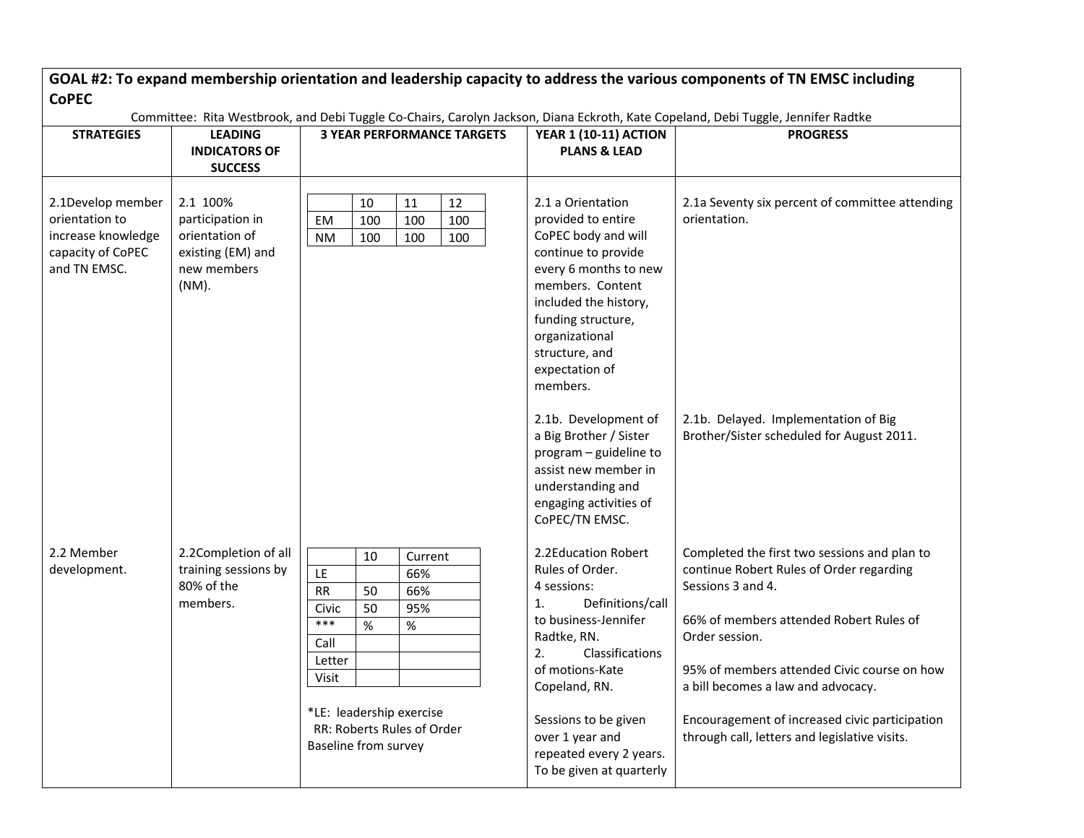| <b>CoPEC</b>                                                                                   |                                                                                             |                                                                                                                                                                                                                  |                                                                                                                                                                                                                                                                                       | GOAL #2: To expand membership orientation and leadership capacity to address the various components of TN EMSC including                                                                                                                                                                                                                                           |
|------------------------------------------------------------------------------------------------|---------------------------------------------------------------------------------------------|------------------------------------------------------------------------------------------------------------------------------------------------------------------------------------------------------------------|---------------------------------------------------------------------------------------------------------------------------------------------------------------------------------------------------------------------------------------------------------------------------------------|--------------------------------------------------------------------------------------------------------------------------------------------------------------------------------------------------------------------------------------------------------------------------------------------------------------------------------------------------------------------|
| <b>STRATEGIES</b>                                                                              | <b>LEADING</b><br><b>INDICATORS OF</b><br><b>SUCCESS</b>                                    | Committee: Rita Westbrook, and Debi Tuggle Co-Chairs, Carolyn Jackson, Diana Eckroth, Kate Copeland, Debi Tuggle, Jennifer Radtke<br><b>3 YEAR PERFORMANCE TARGETS</b>                                           | <b>YEAR 1 (10-11) ACTION</b><br><b>PLANS &amp; LEAD</b>                                                                                                                                                                                                                               | <b>PROGRESS</b>                                                                                                                                                                                                                                                                                                                                                    |
| 2.1Develop member<br>orientation to<br>increase knowledge<br>capacity of CoPEC<br>and TN EMSC. | 2.1 100%<br>participation in<br>orientation of<br>existing (EM) and<br>new members<br>(NM). | 10<br>11<br>12<br>EM<br>100<br>100<br>100<br>100<br><b>NM</b><br>100<br>100                                                                                                                                      | 2.1 a Orientation<br>provided to entire<br>CoPEC body and will<br>continue to provide<br>every 6 months to new<br>members. Content<br>included the history,<br>funding structure,<br>organizational<br>structure, and<br>expectation of<br>members.                                   | 2.1a Seventy six percent of committee attending<br>orientation.                                                                                                                                                                                                                                                                                                    |
|                                                                                                |                                                                                             |                                                                                                                                                                                                                  | 2.1b. Development of<br>a Big Brother / Sister<br>program - guideline to<br>assist new member in<br>understanding and<br>engaging activities of<br>CoPEC/TN EMSC.                                                                                                                     | 2.1b. Delayed. Implementation of Big<br>Brother/Sister scheduled for August 2011.                                                                                                                                                                                                                                                                                  |
| 2.2 Member<br>development.                                                                     | 2.2Completion of all<br>training sessions by<br>80% of the<br>members.                      | 10<br>Current<br>LE<br>66%<br><b>RR</b><br>50<br>66%<br>50<br>95%<br>Civic<br>$***$<br>$\%$<br>$\%$<br>Call<br>Letter<br>Visit<br>*LE: leadership exercise<br>RR: Roberts Rules of Order<br>Baseline from survey | 2.2Education Robert<br>Rules of Order.<br>4 sessions:<br>Definitions/call<br>1.<br>to business-Jennifer<br>Radtke, RN.<br>2.<br>Classifications<br>of motions-Kate<br>Copeland, RN.<br>Sessions to be given<br>over 1 year and<br>repeated every 2 years.<br>To be given at quarterly | Completed the first two sessions and plan to<br>continue Robert Rules of Order regarding<br>Sessions 3 and 4.<br>66% of members attended Robert Rules of<br>Order session.<br>95% of members attended Civic course on how<br>a bill becomes a law and advocacy.<br>Encouragement of increased civic participation<br>through call, letters and legislative visits. |

 $\Box$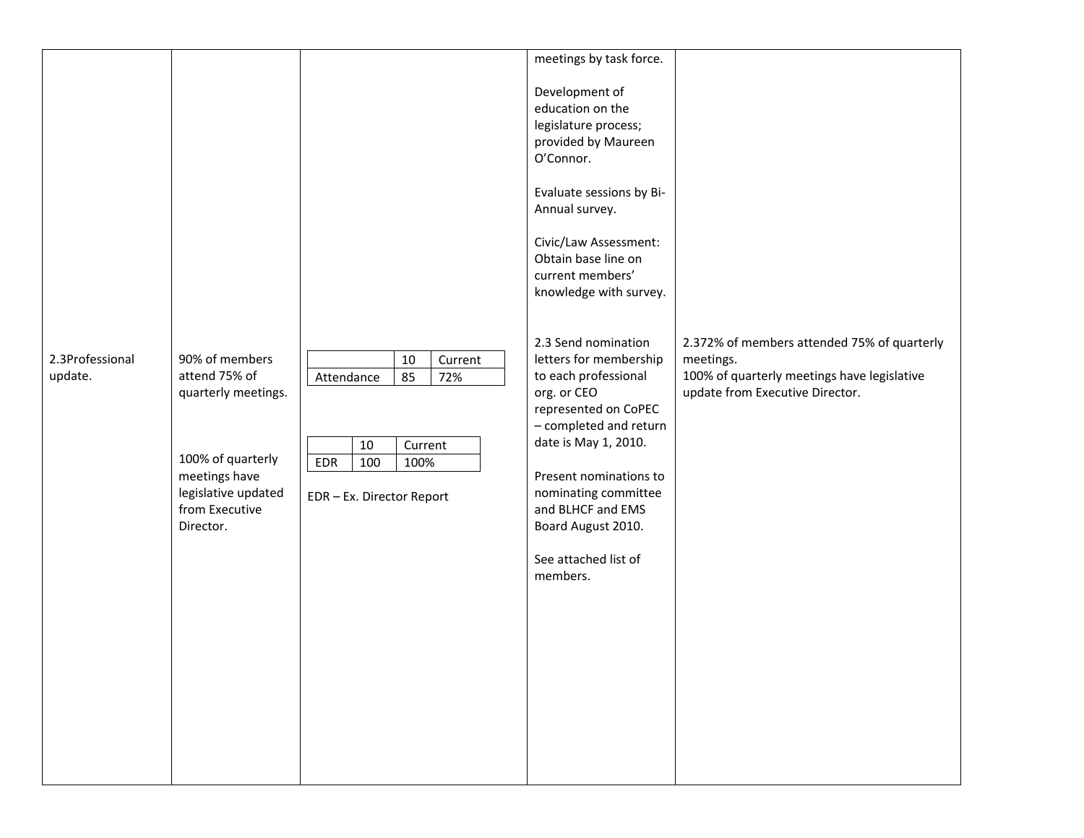|                            |                                                                                                                                                    |                                                                                                              | meetings by task force.                                                                                                                                                                                                                                                                         |                                                                                                                                            |
|----------------------------|----------------------------------------------------------------------------------------------------------------------------------------------------|--------------------------------------------------------------------------------------------------------------|-------------------------------------------------------------------------------------------------------------------------------------------------------------------------------------------------------------------------------------------------------------------------------------------------|--------------------------------------------------------------------------------------------------------------------------------------------|
|                            |                                                                                                                                                    |                                                                                                              | Development of<br>education on the<br>legislature process;<br>provided by Maureen<br>O'Connor.<br>Evaluate sessions by Bi-<br>Annual survey.<br>Civic/Law Assessment:<br>Obtain base line on<br>current members'<br>knowledge with survey.                                                      |                                                                                                                                            |
| 2.3Professional<br>update. | 90% of members<br>attend 75% of<br>quarterly meetings.<br>100% of quarterly<br>meetings have<br>legislative updated<br>from Executive<br>Director. | 10<br>Current<br>85<br>72%<br>Attendance<br>10<br>Current<br>EDR<br>100<br>100%<br>EDR - Ex. Director Report | 2.3 Send nomination<br>letters for membership<br>to each professional<br>org. or CEO<br>represented on CoPEC<br>- completed and return<br>date is May 1, 2010.<br>Present nominations to<br>nominating committee<br>and BLHCF and EMS<br>Board August 2010.<br>See attached list of<br>members. | 2.372% of members attended 75% of quarterly<br>meetings.<br>100% of quarterly meetings have legislative<br>update from Executive Director. |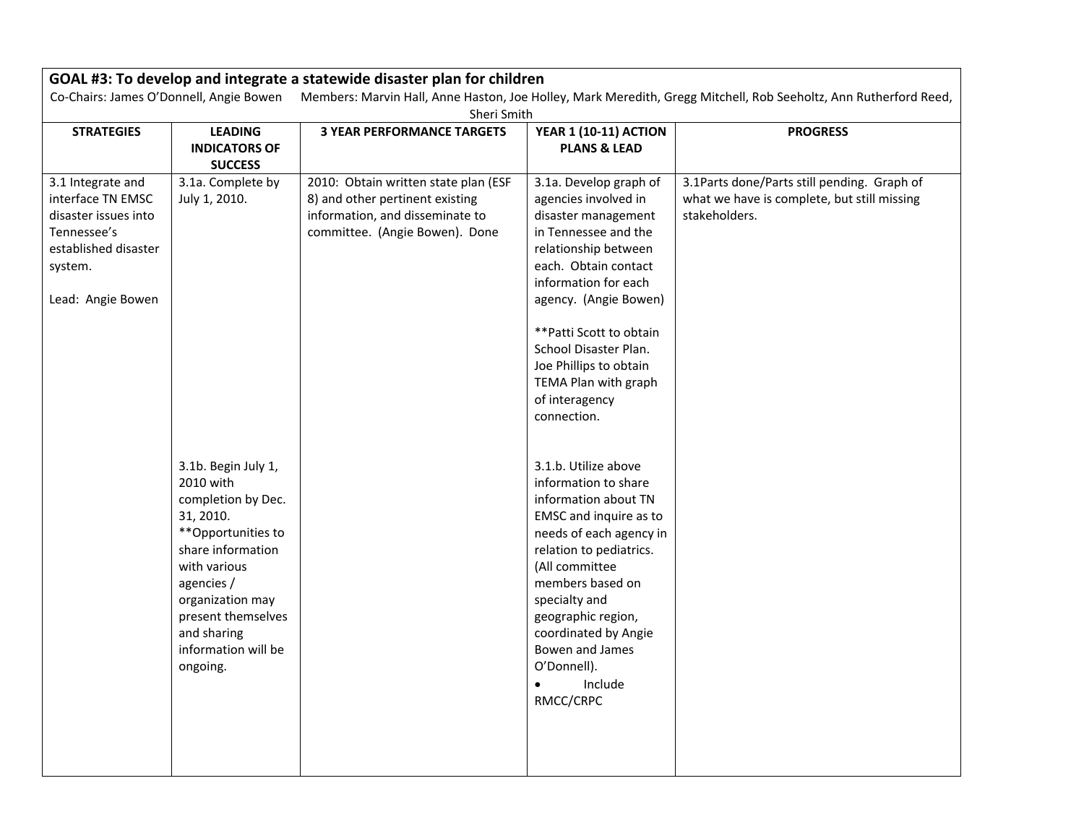| GOAL #3: To develop and integrate a statewide disaster plan for children                                                                                    |                                                                                                                                                                                                                                                                                |                                                                                                                                              |                                                                                                                                                                                                                                                                                                                                                                                                                                                                                                                                                                                                                                                               |                                                                                                             |  |  |  |
|-------------------------------------------------------------------------------------------------------------------------------------------------------------|--------------------------------------------------------------------------------------------------------------------------------------------------------------------------------------------------------------------------------------------------------------------------------|----------------------------------------------------------------------------------------------------------------------------------------------|---------------------------------------------------------------------------------------------------------------------------------------------------------------------------------------------------------------------------------------------------------------------------------------------------------------------------------------------------------------------------------------------------------------------------------------------------------------------------------------------------------------------------------------------------------------------------------------------------------------------------------------------------------------|-------------------------------------------------------------------------------------------------------------|--|--|--|
| Co-Chairs: James O'Donnell, Angie Bowen<br>Members: Marvin Hall, Anne Haston, Joe Holley, Mark Meredith, Gregg Mitchell, Rob Seeholtz, Ann Rutherford Reed, |                                                                                                                                                                                                                                                                                |                                                                                                                                              |                                                                                                                                                                                                                                                                                                                                                                                                                                                                                                                                                                                                                                                               |                                                                                                             |  |  |  |
| Sheri Smith                                                                                                                                                 |                                                                                                                                                                                                                                                                                |                                                                                                                                              |                                                                                                                                                                                                                                                                                                                                                                                                                                                                                                                                                                                                                                                               |                                                                                                             |  |  |  |
| <b>STRATEGIES</b>                                                                                                                                           | <b>LEADING</b><br><b>INDICATORS OF</b><br><b>SUCCESS</b>                                                                                                                                                                                                                       | <b>3 YEAR PERFORMANCE TARGETS</b>                                                                                                            | <b>YEAR 1 (10-11) ACTION</b><br><b>PLANS &amp; LEAD</b>                                                                                                                                                                                                                                                                                                                                                                                                                                                                                                                                                                                                       | <b>PROGRESS</b>                                                                                             |  |  |  |
| 3.1 Integrate and<br>interface TN EMSC<br>disaster issues into<br>Tennessee's<br>established disaster<br>system.<br>Lead: Angie Bowen                       | 3.1a. Complete by<br>July 1, 2010.<br>3.1b. Begin July 1,<br>2010 with<br>completion by Dec.<br>31, 2010.<br>**Opportunities to<br>share information<br>with various<br>agencies /<br>organization may<br>present themselves<br>and sharing<br>information will be<br>ongoing. | 2010: Obtain written state plan (ESF<br>8) and other pertinent existing<br>information, and disseminate to<br>committee. (Angie Bowen). Done | 3.1a. Develop graph of<br>agencies involved in<br>disaster management<br>in Tennessee and the<br>relationship between<br>each. Obtain contact<br>information for each<br>agency. (Angie Bowen)<br>** Patti Scott to obtain<br>School Disaster Plan.<br>Joe Phillips to obtain<br>TEMA Plan with graph<br>of interagency<br>connection.<br>3.1.b. Utilize above<br>information to share<br>information about TN<br>EMSC and inquire as to<br>needs of each agency in<br>relation to pediatrics.<br>(All committee<br>members based on<br>specialty and<br>geographic region,<br>coordinated by Angie<br>Bowen and James<br>O'Donnell).<br>Include<br>RMCC/CRPC | 3.1Parts done/Parts still pending. Graph of<br>what we have is complete, but still missing<br>stakeholders. |  |  |  |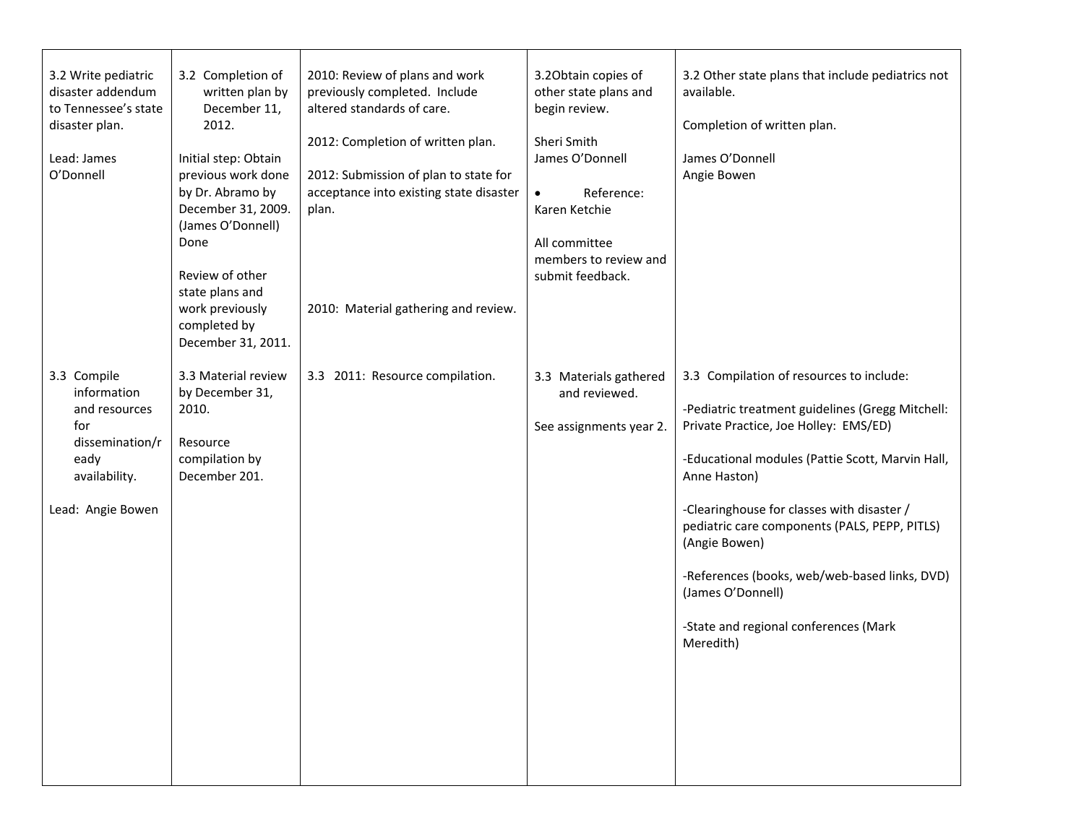| 3.2 Write pediatric<br>disaster addendum<br>to Tennessee's state<br>disaster plan.<br>Lead: James<br>O'Donnell      | 3.2 Completion of<br>written plan by<br>December 11,<br>2012.<br>Initial step: Obtain<br>previous work done<br>by Dr. Abramo by<br>December 31, 2009.<br>(James O'Donnell)<br>Done<br>Review of other<br>state plans and<br>work previously<br>completed by | 2010: Review of plans and work<br>previously completed. Include<br>altered standards of care.<br>2012: Completion of written plan.<br>2012: Submission of plan to state for<br>acceptance into existing state disaster<br>plan.<br>2010: Material gathering and review. | 3.20btain copies of<br>other state plans and<br>begin review.<br>Sheri Smith<br>James O'Donnell<br>Reference:<br>$\bullet$<br>Karen Ketchie<br>All committee<br>members to review and<br>submit feedback. | 3.2 Other state plans that include pediatrics not<br>available.<br>Completion of written plan.<br>James O'Donnell<br>Angie Bowen                                                                                                                                                                                                                                                                                                                      |
|---------------------------------------------------------------------------------------------------------------------|-------------------------------------------------------------------------------------------------------------------------------------------------------------------------------------------------------------------------------------------------------------|-------------------------------------------------------------------------------------------------------------------------------------------------------------------------------------------------------------------------------------------------------------------------|-----------------------------------------------------------------------------------------------------------------------------------------------------------------------------------------------------------|-------------------------------------------------------------------------------------------------------------------------------------------------------------------------------------------------------------------------------------------------------------------------------------------------------------------------------------------------------------------------------------------------------------------------------------------------------|
| 3.3 Compile<br>information<br>and resources<br>for<br>dissemination/r<br>eady<br>availability.<br>Lead: Angie Bowen | December 31, 2011.<br>3.3 Material review<br>by December 31,<br>2010.<br>Resource<br>compilation by<br>December 201.                                                                                                                                        | 3.3 2011: Resource compilation.                                                                                                                                                                                                                                         | 3.3 Materials gathered<br>and reviewed.<br>See assignments year 2.                                                                                                                                        | 3.3 Compilation of resources to include:<br>-Pediatric treatment guidelines (Gregg Mitchell:<br>Private Practice, Joe Holley: EMS/ED)<br>-Educational modules (Pattie Scott, Marvin Hall,<br>Anne Haston)<br>-Clearinghouse for classes with disaster /<br>pediatric care components (PALS, PEPP, PITLS)<br>(Angie Bowen)<br>-References (books, web/web-based links, DVD)<br>(James O'Donnell)<br>-State and regional conferences (Mark<br>Meredith) |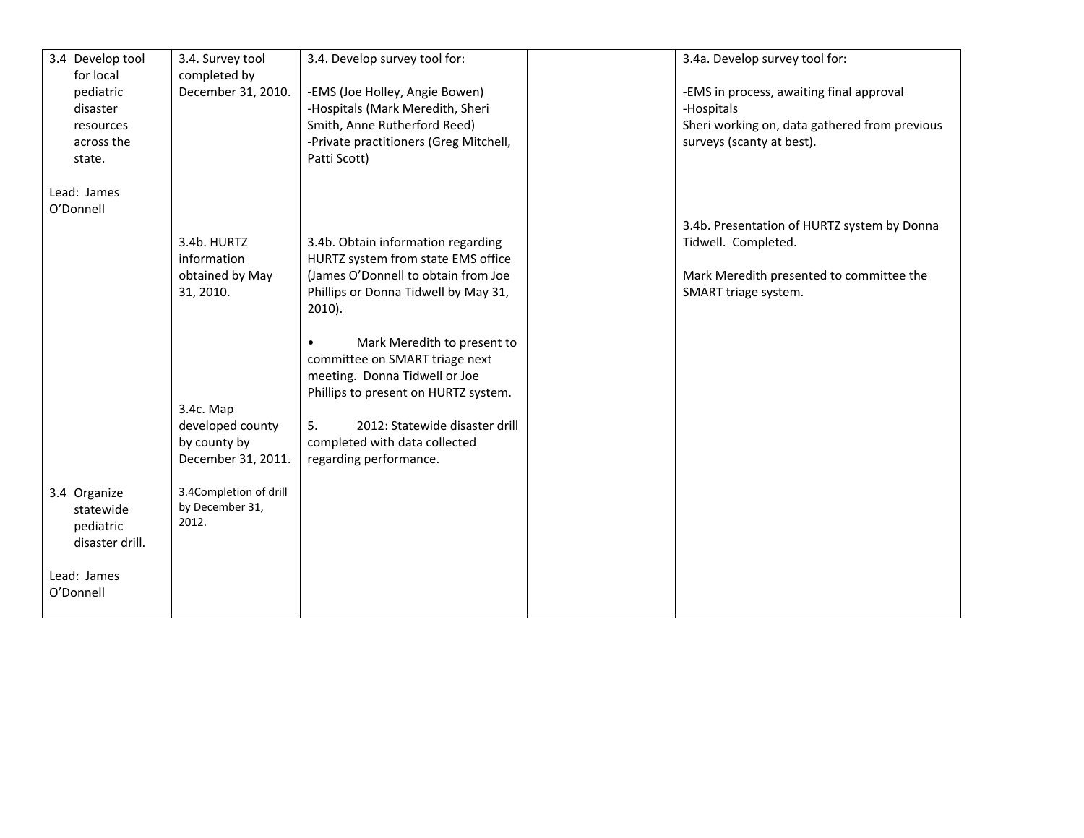| 3.4 Develop tool<br>for local                              | 3.4. Survey tool<br>completed by                                    | 3.4. Develop survey tool for:                                                                                                                                                                                                                          | 3.4a. Develop survey tool for:                                                                                                         |
|------------------------------------------------------------|---------------------------------------------------------------------|--------------------------------------------------------------------------------------------------------------------------------------------------------------------------------------------------------------------------------------------------------|----------------------------------------------------------------------------------------------------------------------------------------|
| pediatric<br>disaster<br>resources<br>across the<br>state. | December 31, 2010.                                                  | -EMS (Joe Holley, Angie Bowen)<br>-Hospitals (Mark Meredith, Sheri<br>Smith, Anne Rutherford Reed)<br>-Private practitioners (Greg Mitchell,<br>Patti Scott)                                                                                           | -EMS in process, awaiting final approval<br>-Hospitals<br>Sheri working on, data gathered from previous<br>surveys (scanty at best).   |
| Lead: James<br>O'Donnell                                   |                                                                     |                                                                                                                                                                                                                                                        |                                                                                                                                        |
|                                                            | 3.4b. HURTZ<br>information<br>obtained by May<br>31, 2010.          | 3.4b. Obtain information regarding<br>HURTZ system from state EMS office<br>(James O'Donnell to obtain from Joe<br>Phillips or Donna Tidwell by May 31,<br>$2010$ ).                                                                                   | 3.4b. Presentation of HURTZ system by Donna<br>Tidwell. Completed.<br>Mark Meredith presented to committee the<br>SMART triage system. |
|                                                            | 3.4c. Map<br>developed county<br>by county by<br>December 31, 2011. | Mark Meredith to present to<br>$\bullet$<br>committee on SMART triage next<br>meeting. Donna Tidwell or Joe<br>Phillips to present on HURTZ system.<br>5.<br>2012: Statewide disaster drill<br>completed with data collected<br>regarding performance. |                                                                                                                                        |
| 3.4 Organize<br>statewide<br>pediatric<br>disaster drill.  | 3.4Completion of drill<br>by December 31,<br>2012.                  |                                                                                                                                                                                                                                                        |                                                                                                                                        |
| Lead: James<br>O'Donnell                                   |                                                                     |                                                                                                                                                                                                                                                        |                                                                                                                                        |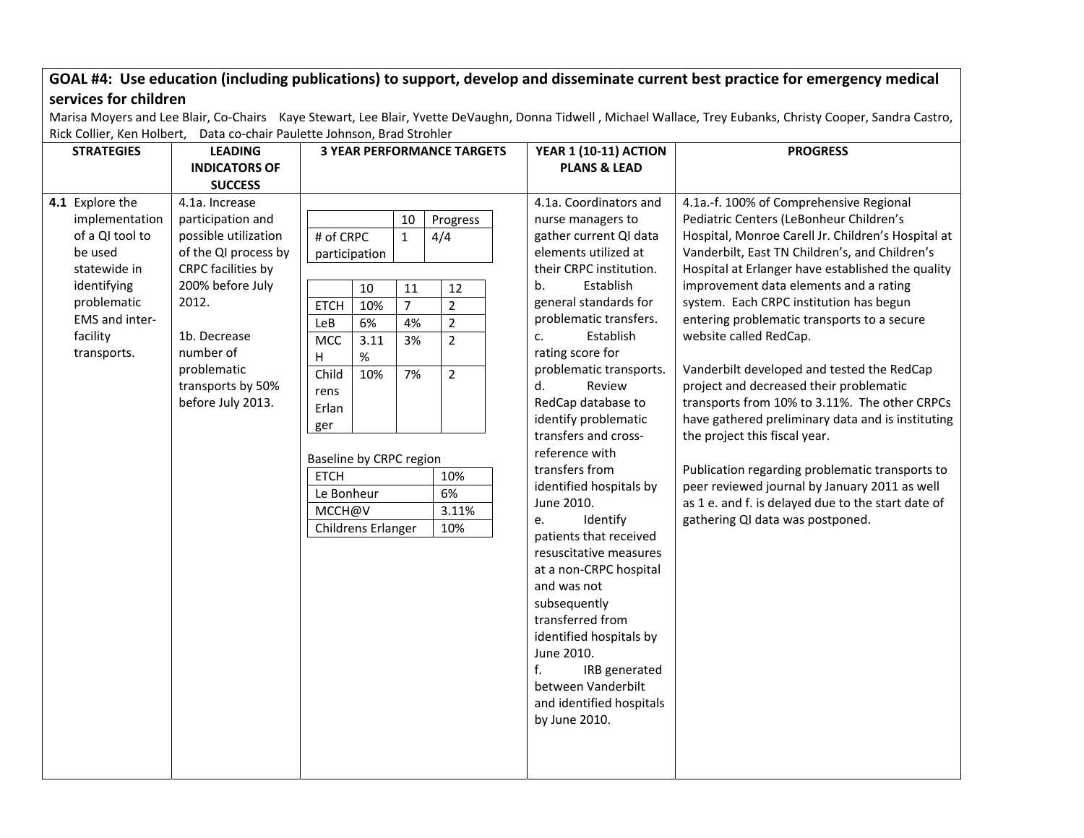## GOAL #4: Use education (including publications) to support, develop and disseminate current best practice for emergency medical **services for children**

Marisa Moyers and Lee Blair, Co‐Chairs Kaye Stewart, Lee Blair, Yvette DeVaughn, Donna Tidwell , Michael Wallace, Trey Eubanks, Christy Cooper, Sandra Castro, Rick Collier, Ken Holbert, Data co‐chair Paulette Johnson, Brad Strohler

| <b>STRATEGIES</b>                                                                                                                                          | <b>LEADING</b>                                                                                                                                                                                                               | <b>3 YEAR PERFORMANCE TARGETS</b>                                                                                                                                      |                                                           |                                                              |                                                                                                                            |                            | <b>YEAR 1 (10-11) ACTION</b>                                                                                                                                                                                                                                                                                                                                                                                                                                                                                                                                                                                                                                                                | <b>PROGRESS</b>                                                                                                                                                                                                                                                                                                                                                                                                                                                                                                                                                                                                                                                                                                                                                                                                                             |
|------------------------------------------------------------------------------------------------------------------------------------------------------------|------------------------------------------------------------------------------------------------------------------------------------------------------------------------------------------------------------------------------|------------------------------------------------------------------------------------------------------------------------------------------------------------------------|-----------------------------------------------------------|--------------------------------------------------------------|----------------------------------------------------------------------------------------------------------------------------|----------------------------|---------------------------------------------------------------------------------------------------------------------------------------------------------------------------------------------------------------------------------------------------------------------------------------------------------------------------------------------------------------------------------------------------------------------------------------------------------------------------------------------------------------------------------------------------------------------------------------------------------------------------------------------------------------------------------------------|---------------------------------------------------------------------------------------------------------------------------------------------------------------------------------------------------------------------------------------------------------------------------------------------------------------------------------------------------------------------------------------------------------------------------------------------------------------------------------------------------------------------------------------------------------------------------------------------------------------------------------------------------------------------------------------------------------------------------------------------------------------------------------------------------------------------------------------------|
|                                                                                                                                                            | <b>INDICATORS OF</b><br><b>SUCCESS</b>                                                                                                                                                                                       |                                                                                                                                                                        |                                                           |                                                              |                                                                                                                            |                            | <b>PLANS &amp; LEAD</b>                                                                                                                                                                                                                                                                                                                                                                                                                                                                                                                                                                                                                                                                     |                                                                                                                                                                                                                                                                                                                                                                                                                                                                                                                                                                                                                                                                                                                                                                                                                                             |
| 4.1 Explore the<br>implementation<br>of a QI tool to<br>be used<br>statewide in<br>identifying<br>problematic<br>EMS and inter-<br>facility<br>transports. | 4.1a. Increase<br>participation and<br>possible utilization<br>of the QI process by<br>CRPC facilities by<br>200% before July<br>2012.<br>1b. Decrease<br>number of<br>problematic<br>transports by 50%<br>before July 2013. | # of CRPC<br>participation<br><b>ETCH</b><br>LeB<br><b>MCC</b><br>н<br>Child<br>rens<br>Erlan<br>ger<br>Baseline by CRPC region<br><b>ETCH</b><br>Le Bonheur<br>MCCH@V | 10<br>10%<br>6%<br>3.11<br>%<br>10%<br>Childrens Erlanger | 10<br>$\mathbf{1}$<br>11<br>$\overline{7}$<br>4%<br>3%<br>7% | Progress<br>4/4<br>12<br>$\overline{2}$<br>$\overline{2}$<br>$\overline{2}$<br>$\overline{2}$<br>10%<br>6%<br>3.11%<br>10% | b.<br>c.<br>d.<br>e.<br>f. | 4.1a. Coordinators and<br>nurse managers to<br>gather current QI data<br>elements utilized at<br>their CRPC institution.<br>Establish<br>general standards for<br>problematic transfers.<br>Establish<br>rating score for<br>problematic transports.<br>Review<br>RedCap database to<br>identify problematic<br>transfers and cross-<br>reference with<br>transfers from<br>identified hospitals by<br>June 2010.<br>Identify<br>patients that received<br>resuscitative measures<br>at a non-CRPC hospital<br>and was not<br>subsequently<br>transferred from<br>identified hospitals by<br>June 2010.<br>IRB generated<br>between Vanderbilt<br>and identified hospitals<br>by June 2010. | 4.1a.-f. 100% of Comprehensive Regional<br>Pediatric Centers (LeBonheur Children's<br>Hospital, Monroe Carell Jr. Children's Hospital at<br>Vanderbilt, East TN Children's, and Children's<br>Hospital at Erlanger have established the quality<br>improvement data elements and a rating<br>system. Each CRPC institution has begun<br>entering problematic transports to a secure<br>website called RedCap.<br>Vanderbilt developed and tested the RedCap<br>project and decreased their problematic<br>transports from 10% to 3.11%. The other CRPCs<br>have gathered preliminary data and is instituting<br>the project this fiscal year.<br>Publication regarding problematic transports to<br>peer reviewed journal by January 2011 as well<br>as 1 e. and f. is delayed due to the start date of<br>gathering QI data was postponed. |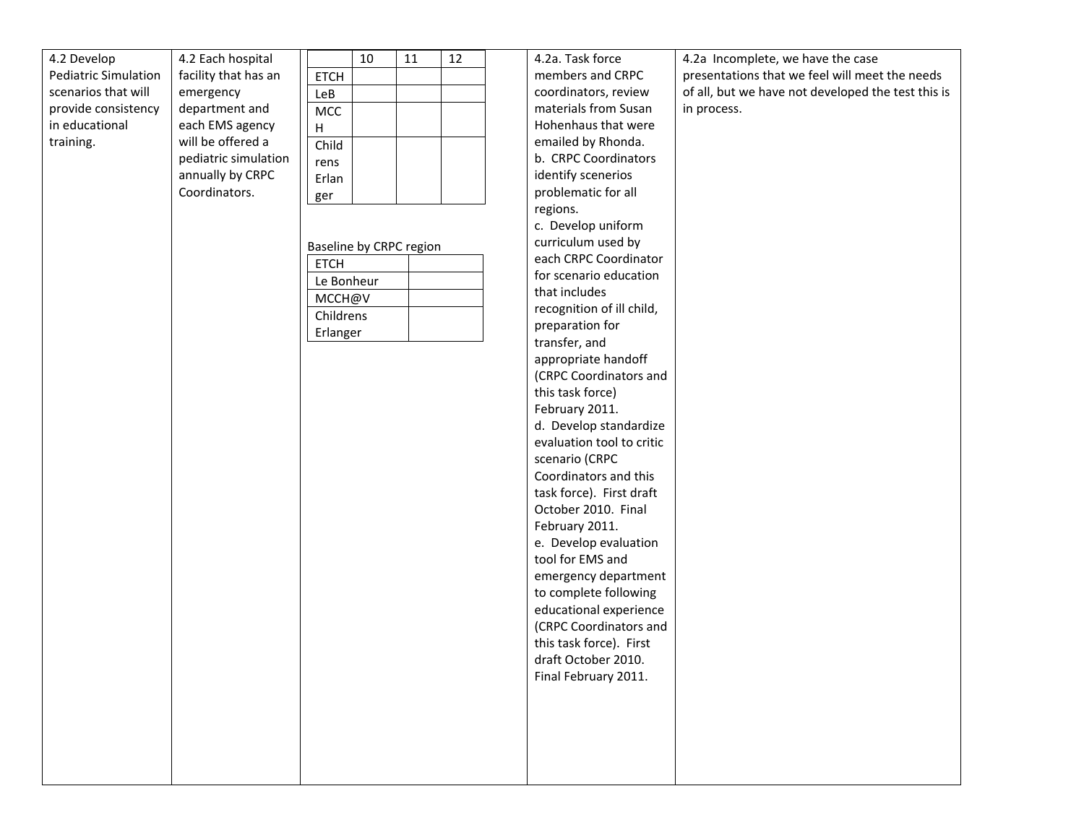| 4.2 Develop                 | 4.2 Each hospital    |                         | 10 | 11 | 12 | 4.2a. Task force          | 4.2a Incomplete, we have the case                  |
|-----------------------------|----------------------|-------------------------|----|----|----|---------------------------|----------------------------------------------------|
| <b>Pediatric Simulation</b> | facility that has an | <b>ETCH</b>             |    |    |    | members and CRPC          | presentations that we feel will meet the needs     |
| scenarios that will         | emergency            | LeB                     |    |    |    | coordinators, review      | of all, but we have not developed the test this is |
| provide consistency         | department and       | MCC                     |    |    |    | materials from Susan      | in process.                                        |
| in educational              | each EMS agency      | $\mathsf{H}$            |    |    |    | Hohenhaus that were       |                                                    |
| training.                   | will be offered a    | Child                   |    |    |    | emailed by Rhonda.        |                                                    |
|                             | pediatric simulation | rens                    |    |    |    | b. CRPC Coordinators      |                                                    |
|                             | annually by CRPC     | Erlan                   |    |    |    | identify scenerios        |                                                    |
|                             | Coordinators.        | ger                     |    |    |    | problematic for all       |                                                    |
|                             |                      |                         |    |    |    | regions.                  |                                                    |
|                             |                      |                         |    |    |    | c. Develop uniform        |                                                    |
|                             |                      | Baseline by CRPC region |    |    |    | curriculum used by        |                                                    |
|                             |                      | <b>ETCH</b>             |    |    |    | each CRPC Coordinator     |                                                    |
|                             |                      | Le Bonheur              |    |    |    | for scenario education    |                                                    |
|                             |                      | MCCH@V                  |    |    |    | that includes             |                                                    |
|                             |                      | Childrens               |    |    |    | recognition of ill child, |                                                    |
|                             |                      |                         |    |    |    | preparation for           |                                                    |
|                             |                      | Erlanger                |    |    |    | transfer, and             |                                                    |
|                             |                      |                         |    |    |    | appropriate handoff       |                                                    |
|                             |                      |                         |    |    |    | (CRPC Coordinators and    |                                                    |
|                             |                      |                         |    |    |    | this task force)          |                                                    |
|                             |                      |                         |    |    |    | February 2011.            |                                                    |
|                             |                      |                         |    |    |    | d. Develop standardize    |                                                    |
|                             |                      |                         |    |    |    | evaluation tool to critic |                                                    |
|                             |                      |                         |    |    |    | scenario (CRPC            |                                                    |
|                             |                      |                         |    |    |    | Coordinators and this     |                                                    |
|                             |                      |                         |    |    |    | task force). First draft  |                                                    |
|                             |                      |                         |    |    |    | October 2010. Final       |                                                    |
|                             |                      |                         |    |    |    | February 2011.            |                                                    |
|                             |                      |                         |    |    |    | e. Develop evaluation     |                                                    |
|                             |                      |                         |    |    |    | tool for EMS and          |                                                    |
|                             |                      |                         |    |    |    | emergency department      |                                                    |
|                             |                      |                         |    |    |    | to complete following     |                                                    |
|                             |                      |                         |    |    |    | educational experience    |                                                    |
|                             |                      |                         |    |    |    | (CRPC Coordinators and    |                                                    |
|                             |                      |                         |    |    |    | this task force). First   |                                                    |
|                             |                      |                         |    |    |    | draft October 2010.       |                                                    |
|                             |                      |                         |    |    |    | Final February 2011.      |                                                    |
|                             |                      |                         |    |    |    |                           |                                                    |
|                             |                      |                         |    |    |    |                           |                                                    |
|                             |                      |                         |    |    |    |                           |                                                    |
|                             |                      |                         |    |    |    |                           |                                                    |
|                             |                      |                         |    |    |    |                           |                                                    |
|                             |                      |                         |    |    |    |                           |                                                    |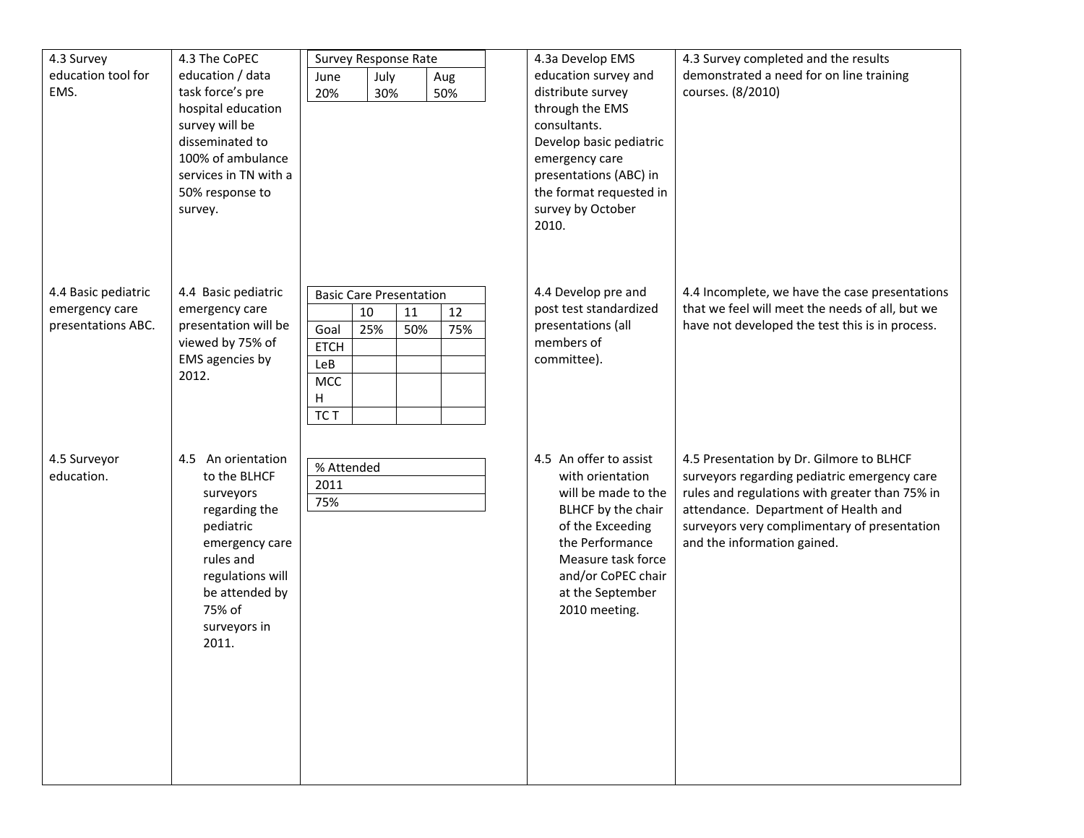| 4.3 Survey          | 4.3 The CoPEC                            | Survey Response Rate           |            | 4.3a Develop EMS | 4.3 Survey completed and the results              |                                                 |
|---------------------|------------------------------------------|--------------------------------|------------|------------------|---------------------------------------------------|-------------------------------------------------|
| education tool for  | education / data                         | July<br>June                   | Aug        |                  | education survey and                              | demonstrated a need for on line training        |
| EMS.                | task force's pre                         | 20%<br>30%                     | 50%        |                  | distribute survey                                 | courses. (8/2010)                               |
|                     | hospital education                       |                                |            |                  | through the EMS                                   |                                                 |
|                     | survey will be                           |                                |            |                  | consultants.                                      |                                                 |
|                     | disseminated to                          |                                |            |                  | Develop basic pediatric                           |                                                 |
|                     | 100% of ambulance                        |                                |            |                  | emergency care                                    |                                                 |
|                     | services in TN with a<br>50% response to |                                |            |                  | presentations (ABC) in<br>the format requested in |                                                 |
|                     | survey.                                  |                                |            |                  | survey by October                                 |                                                 |
|                     |                                          |                                |            |                  | 2010.                                             |                                                 |
|                     |                                          |                                |            |                  |                                                   |                                                 |
|                     |                                          |                                |            |                  |                                                   |                                                 |
|                     |                                          |                                |            |                  |                                                   |                                                 |
| 4.4 Basic pediatric | 4.4 Basic pediatric                      | <b>Basic Care Presentation</b> |            |                  | 4.4 Develop pre and                               | 4.4 Incomplete, we have the case presentations  |
| emergency care      | emergency care                           | 10                             | 12<br>11   |                  | post test standardized                            | that we feel will meet the needs of all, but we |
| presentations ABC.  | presentation will be                     | Goal<br>25%                    | 50%<br>75% |                  | presentations (all                                | have not developed the test this is in process. |
|                     | viewed by 75% of                         | <b>ETCH</b>                    |            |                  | members of                                        |                                                 |
|                     | EMS agencies by<br>2012.                 | LeB                            |            |                  | committee).                                       |                                                 |
|                     |                                          | MCC                            |            |                  |                                                   |                                                 |
|                     |                                          | н                              |            |                  |                                                   |                                                 |
|                     |                                          | TC T                           |            |                  |                                                   |                                                 |
|                     |                                          |                                |            |                  |                                                   |                                                 |
| 4.5 Surveyor        | 4.5 An orientation                       | % Attended                     |            |                  | 4.5 An offer to assist                            | 4.5 Presentation by Dr. Gilmore to BLHCF        |
| education.          | to the BLHCF                             | 2011                           |            |                  | with orientation                                  | surveyors regarding pediatric emergency care    |
|                     | surveyors                                | 75%                            |            |                  | will be made to the                               | rules and regulations with greater than 75% in  |
|                     | regarding the                            |                                |            |                  | BLHCF by the chair                                | attendance. Department of Health and            |
|                     | pediatric                                |                                |            |                  | of the Exceeding                                  | surveyors very complimentary of presentation    |
|                     | emergency care<br>rules and              |                                |            |                  | the Performance<br>Measure task force             | and the information gained.                     |
|                     | regulations will                         |                                |            |                  | and/or CoPEC chair                                |                                                 |
|                     | be attended by                           |                                |            |                  | at the September                                  |                                                 |
|                     | 75% of                                   |                                |            |                  | 2010 meeting.                                     |                                                 |
|                     | surveyors in                             |                                |            |                  |                                                   |                                                 |
|                     | 2011.                                    |                                |            |                  |                                                   |                                                 |
|                     |                                          |                                |            |                  |                                                   |                                                 |
|                     |                                          |                                |            |                  |                                                   |                                                 |
|                     |                                          |                                |            |                  |                                                   |                                                 |
|                     |                                          |                                |            |                  |                                                   |                                                 |
|                     |                                          |                                |            |                  |                                                   |                                                 |
|                     |                                          |                                |            |                  |                                                   |                                                 |
|                     |                                          |                                |            |                  |                                                   |                                                 |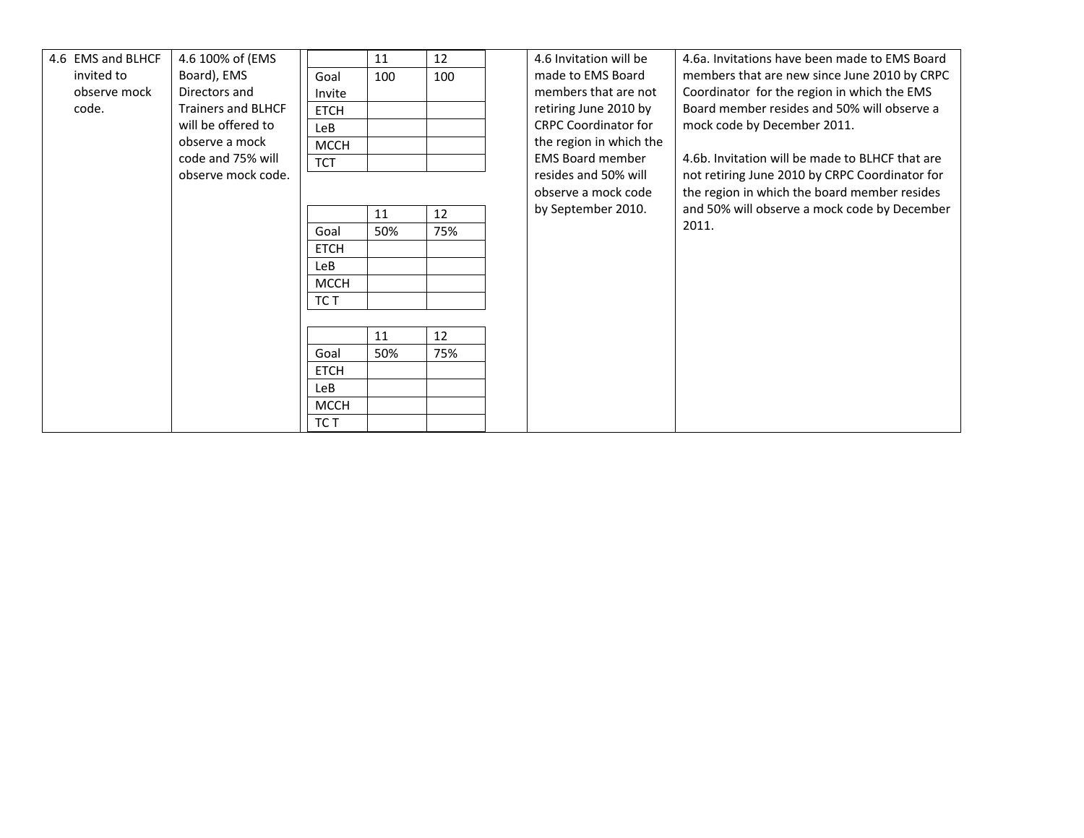| 4.6 EMS and BLHCF | 4.6 100% of (EMS          |             | 11  | 12  | 4.6 Invitation will be      | 4.6a. Invitations have been made to EMS Board   |
|-------------------|---------------------------|-------------|-----|-----|-----------------------------|-------------------------------------------------|
| invited to        | Board), EMS               | Goal        | 100 | 100 | made to EMS Board           | members that are new since June 2010 by CRPC    |
|                   |                           |             |     |     |                             |                                                 |
| observe mock      | Directors and             | Invite      |     |     | members that are not        | Coordinator for the region in which the EMS     |
| code.             | <b>Trainers and BLHCF</b> | <b>ETCH</b> |     |     | retiring June 2010 by       | Board member resides and 50% will observe a     |
|                   | will be offered to        | LeB         |     |     | <b>CRPC Coordinator for</b> | mock code by December 2011.                     |
|                   | observe a mock            | <b>MCCH</b> |     |     | the region in which the     |                                                 |
|                   | code and 75% will         | <b>TCT</b>  |     |     | <b>EMS Board member</b>     | 4.6b. Invitation will be made to BLHCF that are |
|                   | observe mock code.        |             |     |     | resides and 50% will        | not retiring June 2010 by CRPC Coordinator for  |
|                   |                           |             |     |     | observe a mock code         | the region in which the board member resides    |
|                   |                           |             |     |     | by September 2010.          | and 50% will observe a mock code by December    |
|                   |                           |             | 11  | 12  |                             | 2011.                                           |
|                   |                           | Goal        | 50% | 75% |                             |                                                 |
|                   |                           | <b>ETCH</b> |     |     |                             |                                                 |
|                   |                           | <b>LeB</b>  |     |     |                             |                                                 |
|                   |                           | <b>MCCH</b> |     |     |                             |                                                 |
|                   |                           | TC T        |     |     |                             |                                                 |
|                   |                           |             |     |     |                             |                                                 |
|                   |                           |             | 11  | 12  |                             |                                                 |
|                   |                           |             |     |     |                             |                                                 |
|                   |                           | Goal        | 50% | 75% |                             |                                                 |
|                   |                           | <b>ETCH</b> |     |     |                             |                                                 |
|                   |                           | LeB         |     |     |                             |                                                 |
|                   |                           | <b>MCCH</b> |     |     |                             |                                                 |
|                   |                           | TC T        |     |     |                             |                                                 |